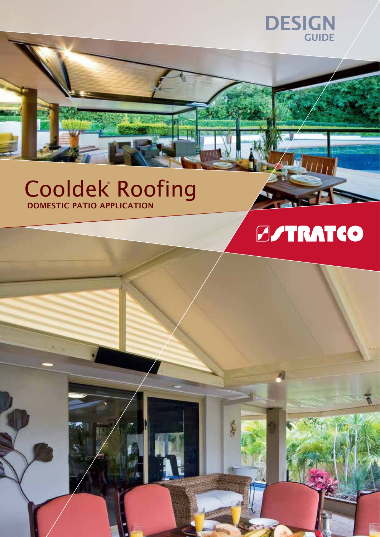

## Cooldek Roofing **DOMESTIC PATIO APPLICATION**

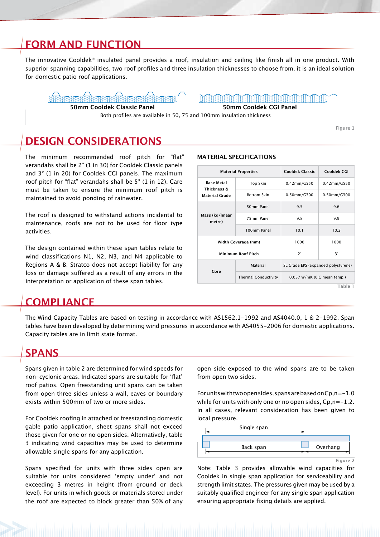## **FORM AND FUNCTION**

The innovative Cooldek® insulated panel provides a roof, insulation and ceiling like finish all in one product. With superior spanning capabilities, two roof profiles and three insulation thicknesses to choose from, it is an ideal solution for domestic patio roof applications.



50mm Cooldek Classic Panel 50mm Cooldek CGI Panel

Both profiles are available in 50, 75 and 100mm insulation thickness

**DESIGN CONSIDERATIONS**

The minimum recommended roof pitch for "flat" verandahs shall be 2° (1 in 30) for Cooldek Classic panels and 3° (1 in 20) for Cooldek CGI panels. The maximum roof pitch for "flat" verandahs shall be 5° (1 in 12). Care must be taken to ensure the minimum roof pitch is maintained to avoid ponding of rainwater.

The roof is designed to withstand actions incidental to maintenance, roofs are not to be used for floor type activities.

The design contained within these span tables relate to wind classifications N1, N2, N3, and N4 applicable to Regions A & B. Stratco does not accept liability for any loss or damage suffered as a result of any errors in the interpretation or application of these span tables.

## **COMPLIANCE**

The Wind Capacity Tables are based on testing in accordance with AS1562.1-1992 and AS4040.0, 1 & 2-1992. Span tables have been developed by determining wind pressures in accordance with AS4055-2006 for domestic applications. Capacity tables are in limit state format.

### **SPANS**

Spans given in table 2 are determined for wind speeds for non-cyclonic areas. Indicated spans are suitable for 'flat' roof patios. Open freestanding unit spans can be taken from open three sides unless a wall, eaves or boundary exists within 500mm of two or more sides.

For Cooldek roofing in attached or freestanding domestic gable patio application, sheet spans shall not exceed those given for one or no open sides. Alternatively, table 3 indicating wind capacities may be used to determine allowable single spans for any application.

Spans specified for units with three sides open are suitable for units considered 'empty under' and not exceeding 3 metres in height (from ground or deck level). For units in which goods or materials stored under the roof are expected to block greater than 50% of any open side exposed to the wind spans are to be taken from open two sides.

For units with two open sides, spans are based on  $Cp, n=-1.0$ while for units with only one or no open sides,  $C_{p,n}=-1.2$ . In all cases, relevant consideration has been given to local pressure.



Note: Table 3 provides allowable wind capacities for Cooldek in single span application for serviceability and strength limit states. The pressures given may be used by a suitably qualified engineer for any single span application ensuring appropriate fixing details are applied.

#### **MATERIAL SPECIFICATIONS**

|                                  | <b>Material Properties</b>  | <b>Cooldek Classic</b>              | Cooldek CGI    |  |  |  |
|----------------------------------|-----------------------------|-------------------------------------|----------------|--|--|--|
| <b>Base Metal</b><br>Thickness & | <b>Top Skin</b>             | $0.42$ mm/G550                      | 0.42mm/G550    |  |  |  |
| <b>Material Grade</b>            | <b>Bottom Skin</b>          | 0.50mm/G300                         | $0.50$ mm/G300 |  |  |  |
| Mass (kg/linear<br>metre)        | 50mm Panel                  | 9.5                                 | 9.6            |  |  |  |
|                                  | 75mm Panel                  | 9.8                                 | 9.9            |  |  |  |
|                                  | 100mm Panel                 | 10.1                                | 10.2           |  |  |  |
|                                  | Width Coverage (mm)         | 1000                                | 1000           |  |  |  |
|                                  | <b>Minimum Roof Pitch</b>   | $2^{\circ}$                         | $3^{\circ}$    |  |  |  |
| Core                             | Material                    | SL Grade EPS (expanded polystyrene) |                |  |  |  |
|                                  | <b>Thermal Conductivity</b> | 0.037 W/mK (0°C mean temp.)         |                |  |  |  |
|                                  |                             |                                     | $T_2$ ble 1    |  |  |  |

Table 1

**Figure 1**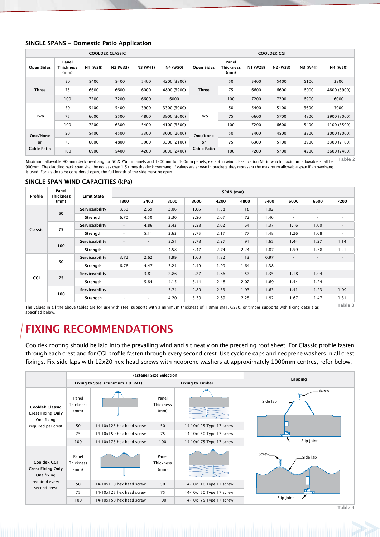#### **SINGLE SPANS - Domestic Patio Application**

| <b>COOLDEK CLASSIC</b> |                            |          |                                   |          |             | <b>COOLDEK CGI</b>                          |                                   |          |                                   |          |             |  |
|------------------------|----------------------------|----------|-----------------------------------|----------|-------------|---------------------------------------------|-----------------------------------|----------|-----------------------------------|----------|-------------|--|
| <b>Open Sides</b>      | Panel<br>Thickness<br>(mm) | N1 (W28) | N <sub>2</sub> (W <sub>33</sub> ) | N3 (W41) | N4 (W50)    | Open Sides                                  | Panel<br><b>Thickness</b><br>(mm) | N1 (W28) | N <sub>2</sub> (W <sub>33</sub> ) | N3 (W41) | N4 (W50)    |  |
| <b>Three</b>           | 50                         | 5400     | 5400                              | 5400     | 4200 (3900) | <b>Three</b>                                | 50                                | 5400     | 5400                              | 5100     | 3900        |  |
|                        | 75                         | 6600     | 6600                              | 6000     | 4800 (3900) |                                             | 75                                | 6600     | 6600                              | 6000     | 4800 (3900) |  |
|                        | 100                        | 7200     | 7200                              | 6600     | 6000        |                                             | 100                               | 7200     | 7200                              | 6900     | 6000        |  |
| Two                    | 50                         | 5400     | 5400                              | 3900     | 3300 (3000) | Two                                         | 50                                | 5400     | 5100                              | 3600     | 3000        |  |
|                        | 75                         | 6600     | 5500                              | 4800     | 3900 (3000) |                                             | 75                                | 6600     | 5700                              | 4800     | 3900 (3000) |  |
|                        | 100                        | 7200     | 6300                              | 5400     | 4100 (3500) |                                             | 100                               | 7200     | 6600                              | 5400     | 4100 (3500) |  |
| One/None<br>or         | 50                         | 5400     | 4500                              | 3300     | 3000 (2000) | One/None<br><b>or</b><br><b>Gable Patio</b> | 50                                | 5400     | 4500                              | 3300     | 3000 (2000) |  |
|                        | 75                         | 6000     | 4800                              | 3900     | 3300 (2100) |                                             | 75                                | 6300     | 5100                              | 3900     | 3300 (2100) |  |
| <b>Gable Patio</b>     | 100                        | 6900     | 5400                              | 4200     | 3600 (2400) |                                             | 100                               | 7200     | 5700                              | 4200     | 3600 (2400) |  |

Maximum allowable 900mm deck overhang for 50 & 75mm panels and 1200mm for 100mm panels, except in wind classification N4 in which maximum allowable shall be 900mm. The cladding back span shall be no less than 1.5 times the deck overhang. If values are shown in brackets they represent the maximum allowable span if an overhang is used. For a side to be considered open, the full length of the side must be open. Table 2

#### **SINGLE SPAN WIND CAPACITIES (kPa)**

| Profile | Panel<br>Thickness<br>(mm) | <b>Limit State</b> | SPAN (mm)                |                |      |      |      |      |      |                          |                          |                    |
|---------|----------------------------|--------------------|--------------------------|----------------|------|------|------|------|------|--------------------------|--------------------------|--------------------|
|         |                            |                    | 1800                     | 2400           | 3000 | 3600 | 4200 | 4800 | 5400 | 6000                     | 6600                     | 7200               |
| Classic | 50                         | Serviceability     | 3.80                     | 2.69           | 2.06 | 1.66 | 1.38 | 1.18 | 1.02 | $\sim$                   | $\overline{\phantom{a}}$ |                    |
|         |                            | Strength           | 6.70                     | 4.50           | 3.30 | 2.56 | 2.07 | 1.72 | 1.46 | ٠                        | ٠                        |                    |
|         | 75                         | Serviceability     | $\sim$                   | 4.86           | 3.43 | 2.58 | 2.02 | 1.64 | 1.37 | 1.16                     | 1.00                     |                    |
|         |                            | Strength           | ٠                        | 5.11           | 3.63 | 2.75 | 2.17 | 1.77 | 1.48 | 1.26                     | 1.08                     | $\sim$             |
|         | 100                        | Serviceability     | $\overline{\phantom{a}}$ | $\blacksquare$ | 3.51 | 2.78 | 2.27 | 1.91 | 1.65 | 1.44                     | 1.27                     | 1.14               |
|         |                            | Strength           | ٠                        | ٠              | 4.58 | 3.47 | 2.74 | 2.24 | 1.87 | 1.59                     | 1.38                     | 1.21               |
| CGI     | 50                         | Serviceability     | 3.72                     | 2.62           | 1.99 | 1.60 | 1.32 | 1.13 | 0.97 | $\overline{\phantom{a}}$ | $\sim$                   |                    |
|         |                            | Strength           | 6.78                     | 4.47           | 3.24 | 2.49 | 1.99 | 1.64 | 1.38 | $\overline{\phantom{a}}$ | ۰.                       |                    |
|         | 75                         | Serviceability     | $\sim$                   | 3.81           | 2.86 | 2.27 | 1.86 | 1.57 | 1.35 | 1.18                     | 1.04                     |                    |
|         |                            | Strength           | $\overline{\phantom{a}}$ | 5.84           | 4.15 | 3.14 | 2.48 | 2.02 | 1.69 | 1.44                     | 1.24                     | $\sim$             |
|         | 100                        | Serviceability     | $\overline{\phantom{a}}$ | ٠              | 3.74 | 2.89 | 2.33 | 1.93 | 1.63 | 1.41                     | 1.23                     | 1.09               |
|         |                            | Strength           | ٠                        | ٠              | 4.20 | 3.30 | 2.69 | 2.25 | 1.92 | 1.67                     | 1.47                     | 1.31               |
|         |                            |                    |                          |                |      |      |      |      |      | .                        |                          | Tahle <sub>3</sub> |

The values in all the above tables are for use with steel supports with a minimum thickness of 1.0mm BMT, G550, or timber supports with fixing details as specified below.

## **FIXING RECOMMENDATIONS**

Cooldek roofing should be laid into the prevailing wind and sit neatly on the preceding roof sheet. For Classic profile fasten through each crest and for CGI profile fasten through every second crest. Use cyclone caps and neoprene washers in all crest fixings. Fix side laps with 12x20 hex head screws with neoprene washers at approximately 1000mm centres, refer below.



Table 4